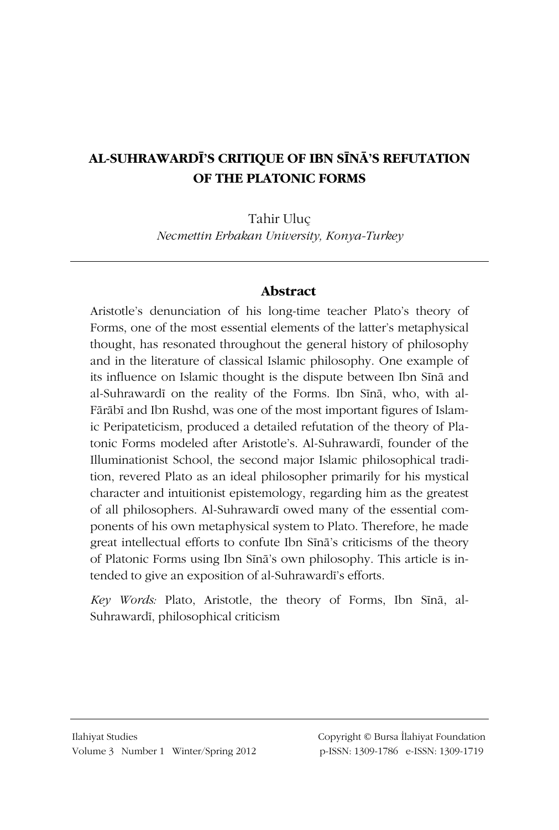### **AL-SUHRAWARDÐ'S CRITIQUE OF IBN SÐ1Â'S REFUTATION OF THE PLATONIC FORMS**

Tahir Uluç

*Necmettin Erbakan University, Konya-Turkey* 

### **Abstract**

Aristotle's denunciation of his long-time teacher Plato's theory of Forms, one of the most essential elements of the latter's metaphysical thought, has resonated throughout the general history of philosophy and in the literature of classical Islamic philosophy. One example of its influence on Islamic thought is the dispute between Ibn Sina and al-Suhrawardī on the reality of the Forms. Ibn Sīnā, who, with al-Fārābī and Ibn Rushd, was one of the most important figures of Islamic Peripateticism, produced a detailed refutation of the theory of Platonic Forms modeled after Aristotle's. Al-Suhrawardī, founder of the Illuminationist School, the second major Islamic philosophical tradition, revered Plato as an ideal philosopher primarily for his mystical character and intuitionist epistemology, regarding him as the greatest of all philosophers. Al-Suhrawardī owed many of the essential components of his own metaphysical system to Plato. Therefore, he made great intellectual efforts to confute Ibn Sina's criticisms of the theory of Platonic Forms using Ibn Sīnā's own philosophy. This article is intended to give an exposition of al-Suhrawardī's efforts.

*Key Words:* Plato, Aristotle, the theory of Forms, Ibn Sīnā, al-Suhrawardī, philosophical criticism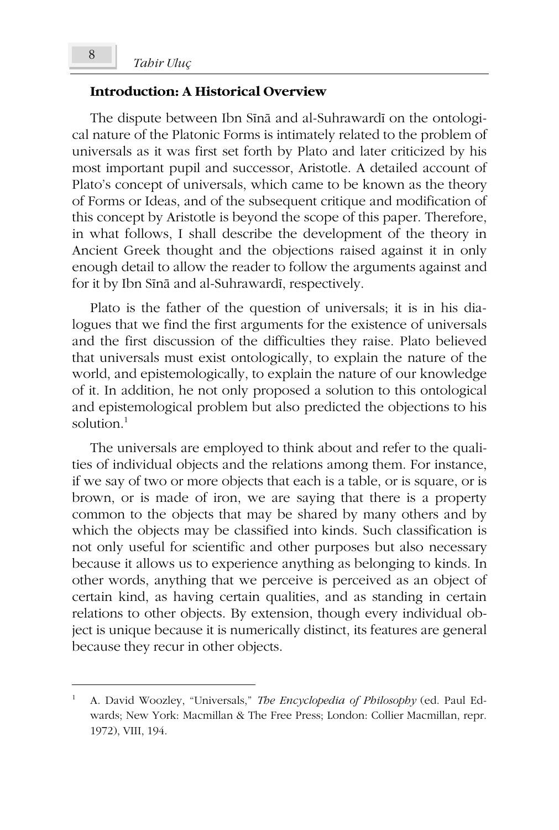#### **Introduction: A Historical Overview**

The dispute between Ibn Sīnā and al-Suhrawardī on the ontological nature of the Platonic Forms is intimately related to the problem of universals as it was first set forth by Plato and later criticized by his most important pupil and successor, Aristotle. A detailed account of Plato's concept of universals, which came to be known as the theory of Forms or Ideas, and of the subsequent critique and modification of this concept by Aristotle is beyond the scope of this paper. Therefore, in what follows, I shall describe the development of the theory in Ancient Greek thought and the objections raised against it in only enough detail to allow the reader to follow the arguments against and for it by Ibn Sinā and al-Suhrawardī, respectively.

Plato is the father of the question of universals; it is in his dialogues that we find the first arguments for the existence of universals and the first discussion of the difficulties they raise. Plato believed that universals must exist ontologically, to explain the nature of the world, and epistemologically, to explain the nature of our knowledge of it. In addition, he not only proposed a solution to this ontological and epistemological problem but also predicted the objections to his solution.<sup>1</sup>

The universals are employed to think about and refer to the qualities of individual objects and the relations among them. For instance, if we say of two or more objects that each is a table, or is square, or is brown, or is made of iron, we are saying that there is a property common to the objects that may be shared by many others and by which the objects may be classified into kinds. Such classification is not only useful for scientific and other purposes but also necessary because it allows us to experience anything as belonging to kinds. In other words, anything that we perceive is perceived as an object of certain kind, as having certain qualities, and as standing in certain relations to other objects. By extension, though every individual object is unique because it is numerically distinct, its features are general because they recur in other objects.

<sup>1</sup> A. David Woozley, "Universals," *The Encyclopedia of Philosophy* (ed. Paul Edwards; New York: Macmillan & The Free Press; London: Collier Macmillan, repr. 1972), VIII, 194.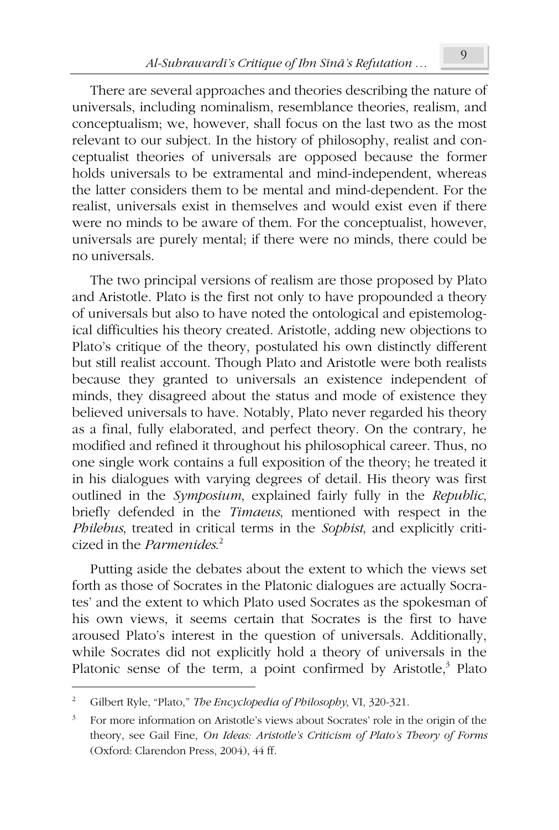There are several approaches and theories describing the nature of universals, including nominalism, resemblance theories, realism, and conceptualism; we, however, shall focus on the last two as the most relevant to our subject. In the history of philosophy, realist and conceptualist theories of universals are opposed because the former holds universals to be extramental and mind-independent, whereas the latter considers them to be mental and mind-dependent. For the realist, universals exist in themselves and would exist even if there were no minds to be aware of them. For the conceptualist, however, universals are purely mental; if there were no minds, there could be no universals.

The two principal versions of realism are those proposed by Plato and Aristotle. Plato is the first not only to have propounded a theory of universals but also to have noted the ontological and epistemological difficulties his theory created. Aristotle, adding new objections to Plato's critique of the theory, postulated his own distinctly different but still realist account. Though Plato and Aristotle were both realists because they granted to universals an existence independent of minds, they disagreed about the status and mode of existence they believed universals to have. Notably, Plato never regarded his theory as a final, fully elaborated, and perfect theory. On the contrary, he modified and refined it throughout his philosophical career. Thus, no one single work contains a full exposition of the theory; he treated it in his dialogues with varying degrees of detail. His theory was first outlined in the *Symposium*, explained fairly fully in the *Republic*, briefly defended in the *Timaeus*, mentioned with respect in the *Philebus*, treated in critical terms in the *Sophist*, and explicitly criticized in the *Parmenides*. 2

Putting aside the debates about the extent to which the views set forth as those of Socrates in the Platonic dialogues are actually Socrates' and the extent to which Plato used Socrates as the spokesman of his own views, it seems certain that Socrates is the first to have aroused Plato's interest in the question of universals. Additionally, while Socrates did not explicitly hold a theory of universals in the Platonic sense of the term, a point confirmed by Aristotle,<sup>3</sup> Plato

<sup>2</sup> Gilbert Ryle, "Plato," *The Encyclopedia of Philosophy*, VI, 320-321.

<sup>3</sup> For more information on Aristotle's views about Socrates' role in the origin of the theory, see Gail Fine, *On Ideas: Aristotle's Criticism of Plato's Theory of Forms* (Oxford: Clarendon Press, 2004), 44 ff.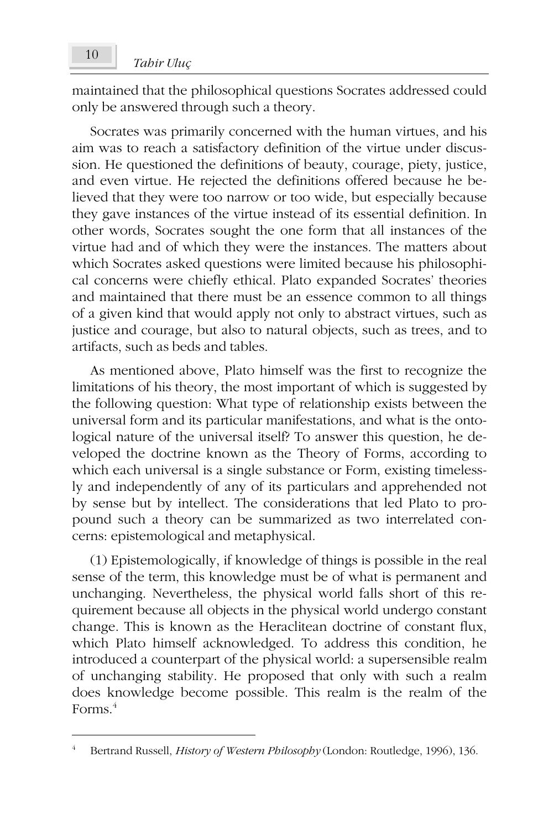maintained that the philosophical questions Socrates addressed could only be answered through such a theory.

Socrates was primarily concerned with the human virtues, and his aim was to reach a satisfactory definition of the virtue under discussion. He questioned the definitions of beauty, courage, piety, justice, and even virtue. He rejected the definitions offered because he believed that they were too narrow or too wide, but especially because they gave instances of the virtue instead of its essential definition. In other words, Socrates sought the one form that all instances of the virtue had and of which they were the instances. The matters about which Socrates asked questions were limited because his philosophical concerns were chiefly ethical. Plato expanded Socrates' theories and maintained that there must be an essence common to all things of a given kind that would apply not only to abstract virtues, such as justice and courage, but also to natural objects, such as trees, and to artifacts, such as beds and tables.

As mentioned above, Plato himself was the first to recognize the limitations of his theory, the most important of which is suggested by the following question: What type of relationship exists between the universal form and its particular manifestations, and what is the ontological nature of the universal itself? To answer this question, he developed the doctrine known as the Theory of Forms, according to which each universal is a single substance or Form, existing timelessly and independently of any of its particulars and apprehended not by sense but by intellect. The considerations that led Plato to propound such a theory can be summarized as two interrelated concerns: epistemological and metaphysical.

(1) Epistemologically, if knowledge of things is possible in the real sense of the term, this knowledge must be of what is permanent and unchanging. Nevertheless, the physical world falls short of this requirement because all objects in the physical world undergo constant change. This is known as the Heraclitean doctrine of constant flux, which Plato himself acknowledged. To address this condition, he introduced a counterpart of the physical world: a supersensible realm of unchanging stability. He proposed that only with such a realm does knowledge become possible. This realm is the realm of the Forms.<sup>4</sup>

<sup>4</sup> Bertrand Russell, *History of Western Philosophy* (London: Routledge, 1996), 136.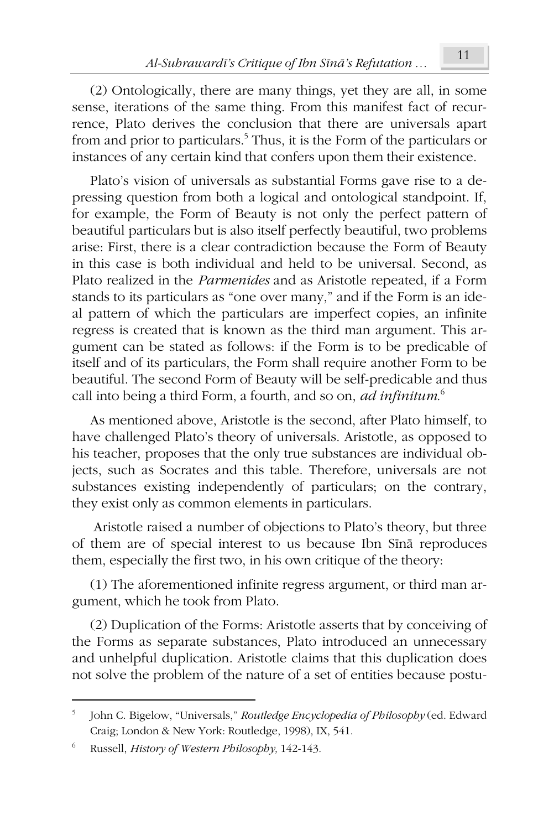(2) Ontologically, there are many things, yet they are all, in some sense, iterations of the same thing. From this manifest fact of recurrence, Plato derives the conclusion that there are universals apart from and prior to particulars.<sup>5</sup> Thus, it is the Form of the particulars or instances of any certain kind that confers upon them their existence.

Plato's vision of universals as substantial Forms gave rise to a depressing question from both a logical and ontological standpoint. If, for example, the Form of Beauty is not only the perfect pattern of beautiful particulars but is also itself perfectly beautiful, two problems arise: First, there is a clear contradiction because the Form of Beauty in this case is both individual and held to be universal. Second, as Plato realized in the *Parmenides* and as Aristotle repeated, if a Form stands to its particulars as "one over many," and if the Form is an ideal pattern of which the particulars are imperfect copies, an infinite regress is created that is known as the third man argument. This argument can be stated as follows: if the Form is to be predicable of itself and of its particulars, the Form shall require another Form to be beautiful. The second Form of Beauty will be self-predicable and thus call into being a third Form, a fourth, and so on, *ad infinitum*. 6

As mentioned above, Aristotle is the second, after Plato himself, to have challenged Plato's theory of universals. Aristotle, as opposed to his teacher, proposes that the only true substances are individual objects, such as Socrates and this table. Therefore, universals are not substances existing independently of particulars; on the contrary, they exist only as common elements in particulars.

 Aristotle raised a number of objections to Plato's theory, but three of them are of special interest to us because Ibn Sīnā reproduces them, especially the first two, in his own critique of the theory:

(1) The aforementioned infinite regress argument, or third man argument, which he took from Plato.

(2) Duplication of the Forms: Aristotle asserts that by conceiving of the Forms as separate substances, Plato introduced an unnecessary and unhelpful duplication. Aristotle claims that this duplication does not solve the problem of the nature of a set of entities because postu-

<sup>5</sup> John C. Bigelow, "Universals," *Routledge Encyclopedia of Philosophy* (ed. Edward Craig; London & New York: Routledge, 1998), IX, 541.

<sup>6</sup> Russell, *History of Western Philosophy,* 142-143.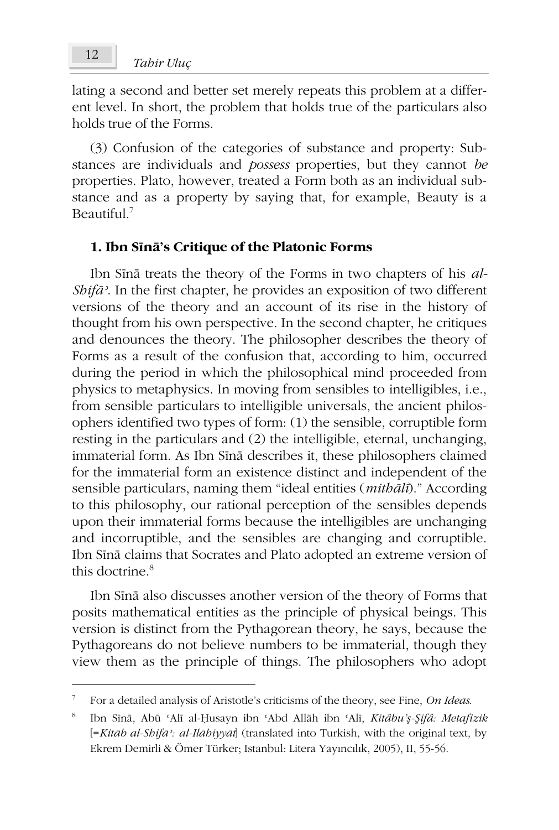lating a second and better set merely repeats this problem at a different level. In short, the problem that holds true of the particulars also holds true of the Forms.

(3) Confusion of the categories of substance and property: Substances are individuals and *possess* properties, but they cannot *be* properties. Plato, however, treated a Form both as an individual substance and as a property by saying that, for example, Beauty is a Beautiful. $<sup>7</sup>$ </sup>

#### 1. Ibn S**ina**'s Critique of the Platonic Forms

Ibn Sina treats the theory of the Forms in two chapters of his *al-ShifÃý*. In the first chapter, he provides an exposition of two different versions of the theory and an account of its rise in the history of thought from his own perspective. In the second chapter, he critiques and denounces the theory. The philosopher describes the theory of Forms as a result of the confusion that, according to him, occurred during the period in which the philosophical mind proceeded from physics to metaphysics. In moving from sensibles to intelligibles, i.e., from sensible particulars to intelligible universals, the ancient philosophers identified two types of form: (1) the sensible, corruptible form resting in the particulars and (2) the intelligible, eternal, unchanging, immaterial form. As Ibn Sīnā describes it, these philosophers claimed for the immaterial form an existence distinct and independent of the sensible particulars, naming them "ideal entities (*mith* $\bar{\bar{a}}$ *Ii*)." According to this philosophy, our rational perception of the sensibles depends upon their immaterial forms because the intelligibles are unchanging and incorruptible, and the sensibles are changing and corruptible. Ibn Sīnā claims that Socrates and Plato adopted an extreme version of this doctrine.<sup>8</sup>

Ibn Sina also discusses another version of the theory of Forms that posits mathematical entities as the principle of physical beings. This version is distinct from the Pythagorean theory, he says, because the Pythagoreans do not believe numbers to be immaterial, though they view them as the principle of things. The philosophers who adopt

 $\overline{\phantom{a}}$ 

<sup>7</sup> For a detailed analysis of Aristotle's criticisms of the theory, see Fine, *On Ideas*.

<sup>8</sup> Ibn Sīnā, Abū 'Alī al-Ḥusayn ibn 'Abd Allāh ibn 'Alī, *Kitâbu'ş-Şifâ: Metafizik* [=*KitÃb al-ShifÃý: al-IlÃhiyyÃt*] (translated into Turkish, with the original text, by Ekrem Demirli & Ömer Türker; Istanbul: Litera Yayıncılık, 2005), II, 55-56.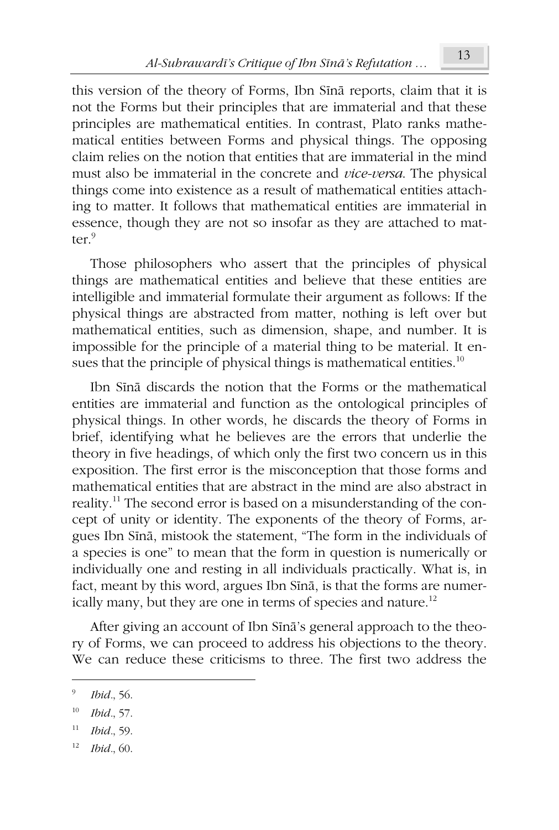this version of the theory of Forms, Ibn Sīnā reports, claim that it is not the Forms but their principles that are immaterial and that these principles are mathematical entities. In contrast, Plato ranks mathematical entities between Forms and physical things. The opposing claim relies on the notion that entities that are immaterial in the mind must also be immaterial in the concrete and *vice-versa*. The physical things come into existence as a result of mathematical entities attaching to matter. It follows that mathematical entities are immaterial in essence, though they are not so insofar as they are attached to matter.<sup>9</sup>

Those philosophers who assert that the principles of physical things are mathematical entities and believe that these entities are intelligible and immaterial formulate their argument as follows: If the physical things are abstracted from matter, nothing is left over but mathematical entities, such as dimension, shape, and number. It is impossible for the principle of a material thing to be material. It ensues that the principle of physical things is mathematical entities.<sup>10</sup>

Ibn Sīnā discards the notion that the Forms or the mathematical entities are immaterial and function as the ontological principles of physical things. In other words, he discards the theory of Forms in brief, identifying what he believes are the errors that underlie the theory in five headings, of which only the first two concern us in this exposition. The first error is the misconception that those forms and mathematical entities that are abstract in the mind are also abstract in reality.<sup>11</sup> The second error is based on a misunderstanding of the concept of unity or identity. The exponents of the theory of Forms, argues Ibn Sīnā, mistook the statement, "The form in the individuals of a species is one" to mean that the form in question is numerically or individually one and resting in all individuals practically. What is, in fact, meant by this word, argues Ibn Sina, is that the forms are numerically many, but they are one in terms of species and nature.<sup>12</sup>

After giving an account of Ibn Sina's general approach to the theory of Forms, we can proceed to address his objections to the theory. We can reduce these criticisms to three. The first two address the

- 11 *Ibid.*, 59.
- 12 *Ibid.*, 60.

<sup>9</sup> *Ibid.*, 56.

<sup>10</sup> *Ibid.*, 57.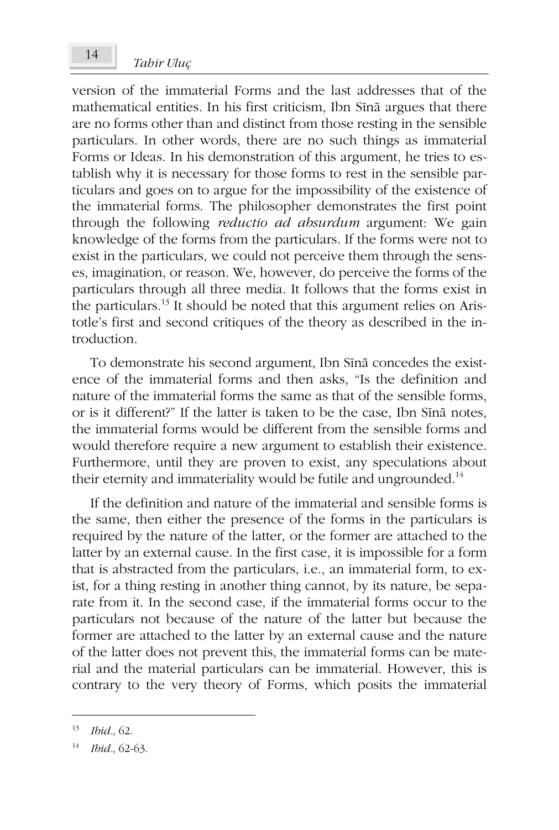# *Tahir Uluç* <sup>14</sup>

version of the immaterial Forms and the last addresses that of the mathematical entities. In his first criticism, Ibn Sina argues that there are no forms other than and distinct from those resting in the sensible particulars. In other words, there are no such things as immaterial Forms or Ideas. In his demonstration of this argument, he tries to establish why it is necessary for those forms to rest in the sensible particulars and goes on to argue for the impossibility of the existence of the immaterial forms. The philosopher demonstrates the first point through the following *reductio ad absurdum* argument: We gain knowledge of the forms from the particulars. If the forms were not to exist in the particulars, we could not perceive them through the senses, imagination, or reason. We, however, do perceive the forms of the particulars through all three media. It follows that the forms exist in the particulars.<sup>13</sup> It should be noted that this argument relies on Aristotle's first and second critiques of the theory as described in the introduction.

To demonstrate his second argument, Ibn Sina concedes the existence of the immaterial forms and then asks, "Is the definition and nature of the immaterial forms the same as that of the sensible forms, or is it different?" If the latter is taken to be the case. Ibn Sina notes, the immaterial forms would be different from the sensible forms and would therefore require a new argument to establish their existence. Furthermore, until they are proven to exist, any speculations about their eternity and immateriality would be futile and ungrounded. $^{14}$ 

If the definition and nature of the immaterial and sensible forms is the same, then either the presence of the forms in the particulars is required by the nature of the latter, or the former are attached to the latter by an external cause. In the first case, it is impossible for a form that is abstracted from the particulars, i.e., an immaterial form, to exist, for a thing resting in another thing cannot, by its nature, be separate from it. In the second case, if the immaterial forms occur to the particulars not because of the nature of the latter but because the former are attached to the latter by an external cause and the nature of the latter does not prevent this, the immaterial forms can be material and the material particulars can be immaterial. However, this is contrary to the very theory of Forms, which posits the immaterial

<sup>13</sup> *Ibid.*, 62.

<sup>14</sup> *Ibid.*, 62-63.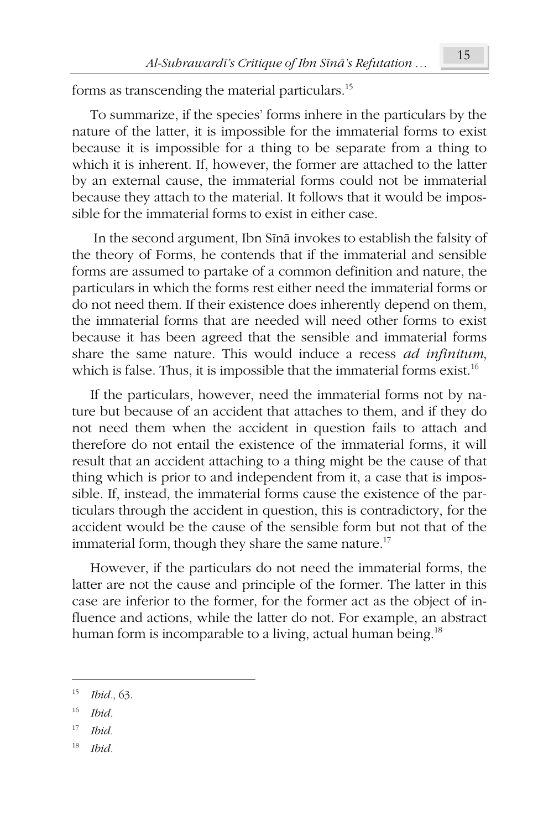forms as transcending the material particulars.<sup>15</sup>

To summarize, if the species' forms inhere in the particulars by the nature of the latter, it is impossible for the immaterial forms to exist because it is impossible for a thing to be separate from a thing to which it is inherent. If, however, the former are attached to the latter by an external cause, the immaterial forms could not be immaterial because they attach to the material. It follows that it would be impossible for the immaterial forms to exist in either case.

In the second argument, Ibn Sina invokes to establish the falsity of the theory of Forms, he contends that if the immaterial and sensible forms are assumed to partake of a common definition and nature, the particulars in which the forms rest either need the immaterial forms or do not need them. If their existence does inherently depend on them, the immaterial forms that are needed will need other forms to exist because it has been agreed that the sensible and immaterial forms share the same nature. This would induce a recess *ad infinitum*, which is false. Thus, it is impossible that the immaterial forms exist.<sup>16</sup>

If the particulars, however, need the immaterial forms not by nature but because of an accident that attaches to them, and if they do not need them when the accident in question fails to attach and therefore do not entail the existence of the immaterial forms, it will result that an accident attaching to a thing might be the cause of that thing which is prior to and independent from it, a case that is impossible. If, instead, the immaterial forms cause the existence of the particulars through the accident in question, this is contradictory, for the accident would be the cause of the sensible form but not that of the immaterial form, though they share the same nature.<sup>17</sup>

However, if the particulars do not need the immaterial forms, the latter are not the cause and principle of the former. The latter in this case are inferior to the former, for the former act as the object of influence and actions, while the latter do not. For example, an abstract human form is incomparable to a living, actual human being.<sup>18</sup>

16 *Ibid.*

- 17 *Ibid.*
- 18 *Ibid.*

<sup>15</sup> *Ibid.*, 63.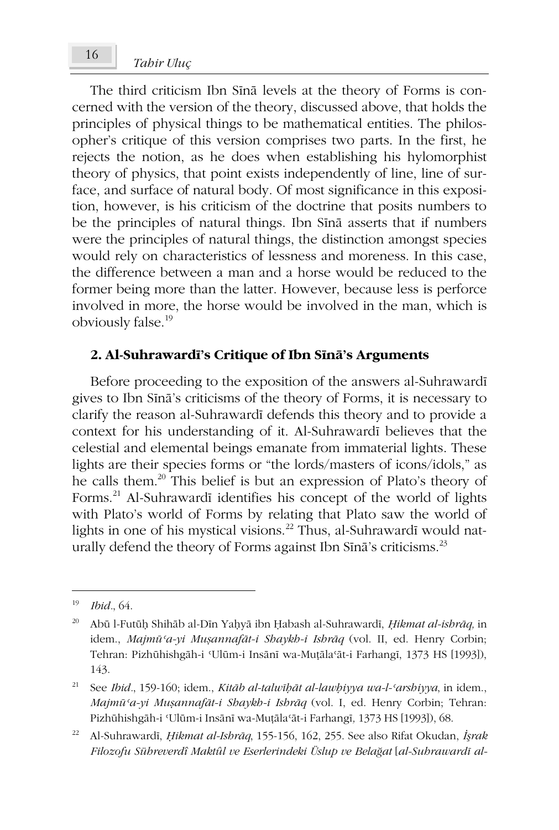# *Tahir Uluç* <sup>16</sup>

The third criticism Ibn Sīnā levels at the theory of Forms is concerned with the version of the theory, discussed above, that holds the principles of physical things to be mathematical entities. The philosopher's critique of this version comprises two parts. In the first, he rejects the notion, as he does when establishing his hylomorphist theory of physics, that point exists independently of line, line of surface, and surface of natural body. Of most significance in this exposition, however, is his criticism of the doctrine that posits numbers to be the principles of natural things. Ibn Sīnā asserts that if numbers were the principles of natural things, the distinction amongst species would rely on characteristics of lessness and moreness. In this case, the difference between a man and a horse would be reduced to the former being more than the latter. However, because less is perforce involved in more, the horse would be involved in the man, which is obviously false.<sup>19</sup>

### **2. Al-Suhrawardī's Critique of Ibn Sīnā's Arguments**

Before proceeding to the exposition of the answers al-Suhraward gives to Ibn Sīnā's criticisms of the theory of Forms, it is necessary to clarify the reason al-Suhrawardī defends this theory and to provide a context for his understanding of it. Al-Suhrawardī believes that the celestial and elemental beings emanate from immaterial lights. These lights are their species forms or "the lords/masters of icons/idols," as he calls them.<sup>20</sup> This belief is but an expression of Plato's theory of Forms.<sup>21</sup> Al-Suhrawardī identifies his concept of the world of lights with Plato's world of Forms by relating that Plato saw the world of lights in one of his mystical visions.<sup>22</sup> Thus, al-Suhrawardī would naturally defend the theory of Forms against Ibn Sīnā's criticisms.<sup>23</sup>

<sup>19</sup> *Ibid.*, 64.

<sup>&</sup>lt;sup>20</sup> Abū l-Futūḥ Shihāb al-Dīn Yaḥyā ibn Ḥabash al-Suhrawardī, *Ḥikmat al-ishrāq*, in idem., *Majmáþa-yi MuĮannafÃt-i Shaykh-i IshrÃq* (vol. II, ed. Henry Corbin; Tehran: Pizhūhishgāh-i 'Ulūm-i Insānī wa-Muṭāla'āt-i Farhangī, 1373 HS [1993]), 143.

<sup>&</sup>lt;sup>21</sup> See *Ibid.*, 159-160; idem., *Kitāb al-talwīḥāt al-lawḥiyya wa-l-arshiyya*, in idem., *Majmáþa-yi MuĮannafÃt-i Shaykh-i IshrÃq* (vol. I, ed. Henry Corbin; Tehran: Pizhūhishgāh-i 'Ulūm-i Insānī wa-Muṭāla'āt-i Farhangī, 1373 HS [1993]), 68.

<sup>&</sup>lt;sup>22</sup> Al-Suhrawardī, *Hikmat al-Ishrāq*, 155-156, 162, 255. See also Rifat Okudan, *İşrak Filozofu Sühreverdî Maktûl ve Eserlerindeki Üslup ve BelaÍat* [*al-SuhrawardÑ al-*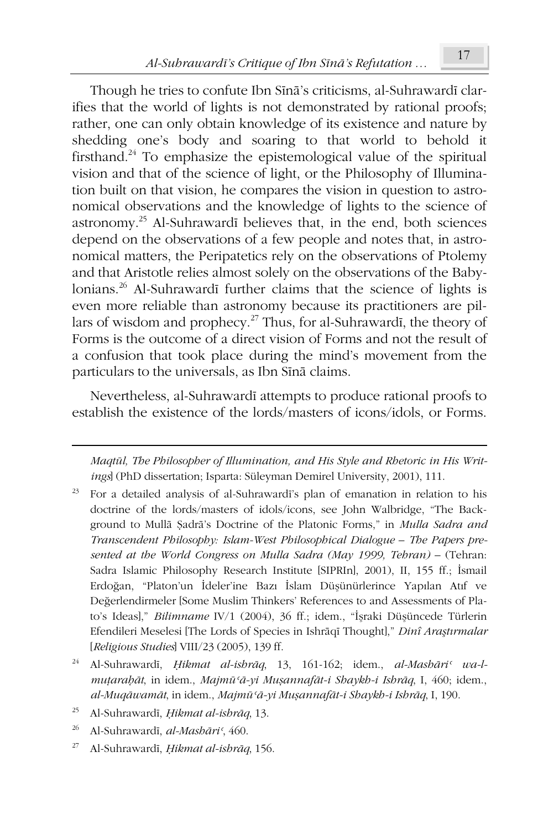Though he tries to confute Ibn Sīnā's criticisms, al-Suhrawardī clarifies that the world of lights is not demonstrated by rational proofs; rather, one can only obtain knowledge of its existence and nature by shedding one's body and soaring to that world to behold it firsthand.<sup>24</sup> To emphasize the epistemological value of the spiritual vision and that of the science of light, or the Philosophy of Illumination built on that vision, he compares the vision in question to astronomical observations and the knowledge of lights to the science of  $astronomy<sup>25</sup>$  Al-Suhrawardī believes that, in the end, both sciences depend on the observations of a few people and notes that, in astronomical matters, the Peripatetics rely on the observations of Ptolemy and that Aristotle relies almost solely on the observations of the Babylonians.<sup>26</sup> Al-Suhrawardī further claims that the science of lights is even more reliable than astronomy because its practitioners are pillars of wisdom and prophecy.<sup>27</sup> Thus, for al-Suhrawardi, the theory of Forms is the outcome of a direct vision of Forms and not the result of a confusion that took place during the mind's movement from the particulars to the universals, as Ibn Sīnā claims.

Nevertheless, al-Suhrawardī attempts to produce rational proofs to establish the existence of the lords/masters of icons/idols, or Forms.

*Maqtál, The Philosopher of Illumination, and His Style and Rhetoric in His Writings*] (PhD dissertation; Isparta: Süleyman Demirel University, 2001), 111.

- For a detailed analysis of al-Suhrawardī's plan of emanation in relation to his doctrine of the lords/masters of idols/icons, see John Walbridge, "The Background to Mullā Şadrā's Doctrine of the Platonic Forms," in *Mulla Sadra and Transcendent Philosophy: Islam-West Philosophical Dialogue – The Papers pre*sented at the World Congress on Mulla Sadra (May 1999, Tehran) – (Tehran: Sadra Islamic Philosophy Research Institute [SIPRIn], 2001), II, 155 ff.; İsmail Erdoğan, "Platon'un İdeler'ine Bazı İslam Düşünürlerince Yapılan Atıf ve Değerlendirmeler [Some Muslim Thinkers' References to and Assessments of Plato's Ideas]," *Bilimname* IV/1 (2004), 36 ff.; idem., "İşraki Düşüncede Türlerin Efendileri Meselesi [The Lords of Species in Ishrāqī Thought]," *Dinî Araştırmalar* [*Religious Studies*] VIII/23 (2005), 139 ff.
- <sup>24</sup> Al-Suhrawardī, *Hikmat al-ishrāq*, 13, 161-162; idem., *al-Mashāri<sup>c</sup> wa-lmuİaraĜÃt*, in idem., *MajmáþÃ-yi MuĮannafÃt-i Shaykh-i IshrÃq*, I, 460; idem., *al-MuqÃwamÃt*, in idem., *MajmáþÃ-yi MuĮannafÃt-i Shaykh-i IshrÃq*, I, 190.
- <sup>25</sup> Al-Suhrawardī, *Hikmat al-ishrāq*, 13.
- <sup>26</sup> Al-Suhrawardī, *al-Mashāri*<sup>*c*</sup>, 460.

 $\overline{a}$ 

<sup>27</sup> Al-Suhrawardī, *Hikmat al-ishrāq*, 156.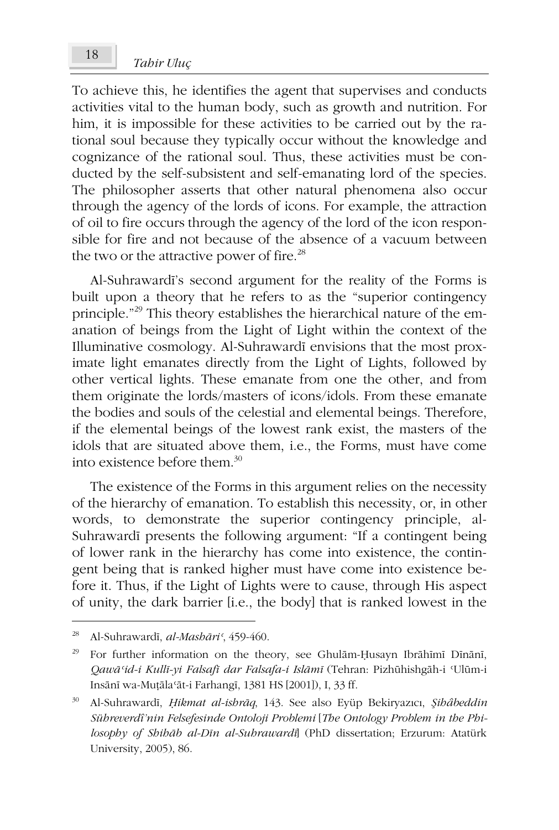To achieve this, he identifies the agent that supervises and conducts activities vital to the human body, such as growth and nutrition. For him, it is impossible for these activities to be carried out by the rational soul because they typically occur without the knowledge and cognizance of the rational soul. Thus, these activities must be conducted by the self-subsistent and self-emanating lord of the species. The philosopher asserts that other natural phenomena also occur through the agency of the lords of icons. For example, the attraction of oil to fire occurs through the agency of the lord of the icon responsible for fire and not because of the absence of a vacuum between the two or the attractive power of fire. $^{28}$ 

Al-Suhrawardī's second argument for the reality of the Forms is built upon a theory that he refers to as the "superior contingency principle."<sup>29</sup> This theory establishes the hierarchical nature of the emanation of beings from the Light of Light within the context of the Illuminative cosmology. Al-Suhrawardī envisions that the most proximate light emanates directly from the Light of Lights, followed by other vertical lights. These emanate from one the other, and from them originate the lords/masters of icons/idols. From these emanate the bodies and souls of the celestial and elemental beings. Therefore, if the elemental beings of the lowest rank exist, the masters of the idols that are situated above them, i.e., the Forms, must have come into existence before them  $30$ 

The existence of the Forms in this argument relies on the necessity of the hierarchy of emanation. To establish this necessity, or, in other words, to demonstrate the superior contingency principle, al-Suhrawardī presents the following argument: "If a contingent being of lower rank in the hierarchy has come into existence, the contingent being that is ranked higher must have come into existence before it. Thus, if the Light of Lights were to cause, through His aspect of unity, the dark barrier [i.e., the body] that is ranked lowest in the

<sup>&</sup>lt;sup>28</sup> Al-Suhrawardī, *al-Mashāri*<sup>*c*</sup>, 459-460.

<sup>&</sup>lt;sup>29</sup> For further information on the theory, see Ghulām-Ḥusayn Ibrāhīmī Dīnānī, *QawÃþid-i KullÑ-yi FalsafÑ dar Falsafa-i IslÃPÑ* (Tehran: PizháhishgÃh-i þUlám-i Insānī wa-Muṭālaʿāt-i Farhangī, 1381 HS [2001]), I, 33 ff.

<sup>&</sup>lt;sup>30</sup> Al-Suhrawardī, *Hikmat al-ishrāq*, 143. See also Eyüp Bekiryazıcı, *Şihâbeddin Sühreverdî'nin Felsefesinde Ontoloji Problemi* [*The Ontology Problem in the Philosophy of ShihÃb al-DÑn al-SuhrawardÑ*] (PhD dissertation; Erzurum: Atatürk University, 2005), 86.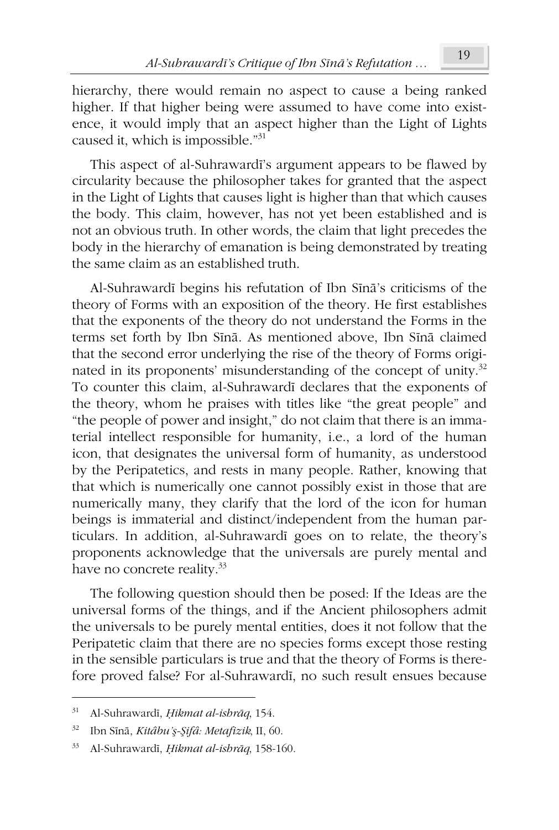hierarchy, there would remain no aspect to cause a being ranked higher. If that higher being were assumed to have come into existence, it would imply that an aspect higher than the Light of Lights caused it, which is impossible."<sup>31</sup>

This aspect of al-Suhrawardī's argument appears to be flawed by circularity because the philosopher takes for granted that the aspect in the Light of Lights that causes light is higher than that which causes the body. This claim, however, has not yet been established and is not an obvious truth. In other words, the claim that light precedes the body in the hierarchy of emanation is being demonstrated by treating the same claim as an established truth.

Al-Suhrawardī begins his refutation of Ibn Sīnā's criticisms of the theory of Forms with an exposition of the theory. He first establishes that the exponents of the theory do not understand the Forms in the terms set forth by Ibn Sīnā. As mentioned above, Ibn Sīnā claimed that the second error underlying the rise of the theory of Forms originated in its proponents' misunderstanding of the concept of unity.<sup>32</sup> To counter this claim, al-Suhrawardi declares that the exponents of the theory, whom he praises with titles like "the great people" and "the people of power and insight," do not claim that there is an immaterial intellect responsible for humanity, i.e., a lord of the human icon, that designates the universal form of humanity, as understood by the Peripatetics, and rests in many people. Rather, knowing that that which is numerically one cannot possibly exist in those that are numerically many, they clarify that the lord of the icon for human beings is immaterial and distinct/independent from the human particulars. In addition, al-Suhrawardī goes on to relate, the theory's proponents acknowledge that the universals are purely mental and have no concrete reality.<sup>33</sup>

The following question should then be posed: If the Ideas are the universal forms of the things, and if the Ancient philosophers admit the universals to be purely mental entities, does it not follow that the Peripatetic claim that there are no species forms except those resting in the sensible particulars is true and that the theory of Forms is therefore proved false? For al-Suhrawardi, no such result ensues because

<sup>&</sup>lt;sup>31</sup> Al-Suhrawardī, *Hikmat al-ishrāq*, 154.

<sup>&</sup>lt;sup>32</sup> Ibn Sīnā, *Kitâbu'ş*-Şifâ: Metafizik, II, 60.

<sup>33</sup> Al-Suhrawardī, *Hikmat al-ishrāq*, 158-160.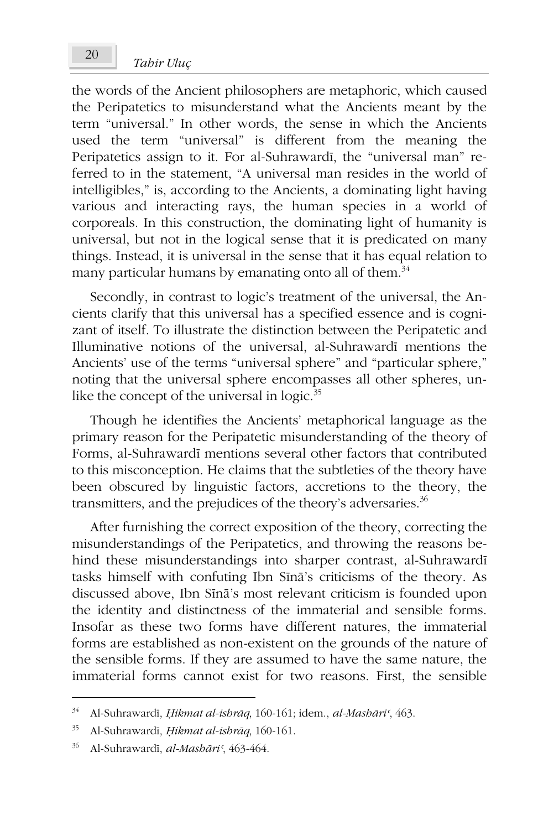the words of the Ancient philosophers are metaphoric, which caused the Peripatetics to misunderstand what the Ancients meant by the term "universal." In other words, the sense in which the Ancients used the term "universal" is different from the meaning the Peripatetics assign to it. For al-Suhrawardī, the "universal man" referred to in the statement, "A universal man resides in the world of intelligibles," is, according to the Ancients, a dominating light having various and interacting rays, the human species in a world of corporeals. In this construction, the dominating light of humanity is universal, but not in the logical sense that it is predicated on many things. Instead, it is universal in the sense that it has equal relation to many particular humans by emanating onto all of them. $34$ 

Secondly, in contrast to logic's treatment of the universal, the Ancients clarify that this universal has a specified essence and is cognizant of itself. To illustrate the distinction between the Peripatetic and Illuminative notions of the universal, al-Suhrawardī mentions the Ancients' use of the terms "universal sphere" and "particular sphere," noting that the universal sphere encompasses all other spheres, unlike the concept of the universal in logic.<sup>35</sup>

Though he identifies the Ancients' metaphorical language as the primary reason for the Peripatetic misunderstanding of the theory of Forms, al-Suhrawardī mentions several other factors that contributed to this misconception. He claims that the subtleties of the theory have been obscured by linguistic factors, accretions to the theory, the transmitters, and the prejudices of the theory's adversaries. $36$ 

After furnishing the correct exposition of the theory, correcting the misunderstandings of the Peripatetics, and throwing the reasons behind these misunderstandings into sharper contrast, al-Suhrawardī tasks himself with confuting Ibn Sīnā's criticisms of the theory. As discussed above, Ibn Sīnā's most relevant criticism is founded upon the identity and distinctness of the immaterial and sensible forms. Insofar as these two forms have different natures, the immaterial forms are established as non-existent on the grounds of the nature of the sensible forms. If they are assumed to have the same nature, the immaterial forms cannot exist for two reasons. First, the sensible

<sup>&</sup>lt;sup>34</sup> Al-Suhrawardī, *Ḥikmat al-ishrāq*, 160-161; idem., *al-Mashāri*<sup>c</sup>, 463.

<sup>&</sup>lt;sup>35</sup> Al-Suhrawardī, *Hikmat al-ishrāq*, 160-161.

<sup>&</sup>lt;sup>36</sup> Al-Suhrawardī, *al-Mashāri*<sup>*c*</sup>, 463-464.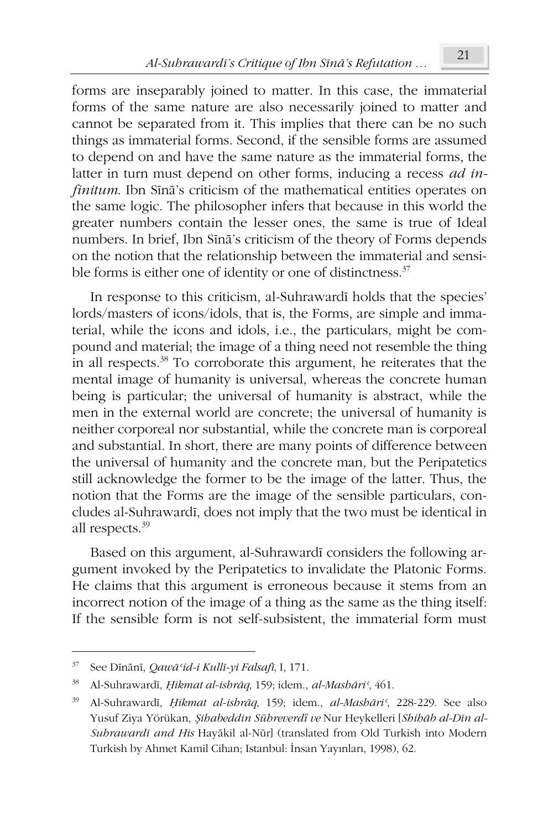forms are inseparably joined to matter. In this case, the immaterial forms of the same nature are also necessarily joined to matter and cannot be separated from it. This implies that there can be no such things as immaterial forms. Second, if the sensible forms are assumed to depend on and have the same nature as the immaterial forms, the latter in turn must depend on other forms, inducing a recess *ad infinitum*. Ibn Sina's criticism of the mathematical entities operates on the same logic. The philosopher infers that because in this world the greater numbers contain the lesser ones, the same is true of Ideal numbers. In brief, Ibn Sīnā's criticism of the theory of Forms depends on the notion that the relationship between the immaterial and sensible forms is either one of identity or one of distinctness.<sup>37</sup>

In response to this criticism, al-Suhrawardī holds that the species' lords/masters of icons/idols, that is, the Forms, are simple and immaterial, while the icons and idols, i.e., the particulars, might be compound and material; the image of a thing need not resemble the thing in all respects.<sup>38</sup> To corroborate this argument, he reiterates that the mental image of humanity is universal, whereas the concrete human being is particular; the universal of humanity is abstract, while the men in the external world are concrete; the universal of humanity is neither corporeal nor substantial, while the concrete man is corporeal and substantial. In short, there are many points of difference between the universal of humanity and the concrete man, but the Peripatetics still acknowledge the former to be the image of the latter. Thus, the notion that the Forms are the image of the sensible particulars, concludes al-Suhrawardī, does not imply that the two must be identical in all respects.<sup>39</sup>

Based on this argument, al-Suhrawardī considers the following argument invoked by the Peripatetics to invalidate the Platonic Forms. He claims that this argument is erroneous because it stems from an incorrect notion of the image of a thing as the same as the thing itself: If the sensible form is not self-subsistent, the immaterial form must

<sup>&</sup>lt;sup>37</sup> See Dīnānī, *Qawā* 'id-i Kullī-yi Falsafī, I, 171.

<sup>&</sup>lt;sup>38</sup> Al-Suhrawardī, *Ḥikmat al-ishrāq*, 159; idem., *al-Mashāri*<sup>c</sup>, 461.

<sup>&</sup>lt;sup>39</sup> Al-Suhrawardī, *Ḥikmat al-ishrāq*, 159; idem., *al-Mashāri*<sup>c</sup>, 228-229. See also Yusuf Ziya Yörükan, Şihabeddin Sühreverdî ve Nur Heykelleri [Shihāb al-Dīn al-*Suhrawardī and His* Hayākil al-Nūr] (translated from Old Turkish into Modern Turkish by Ahmet Kamil Cihan; Istanbul: İnsan Yayınları, 1998), 62.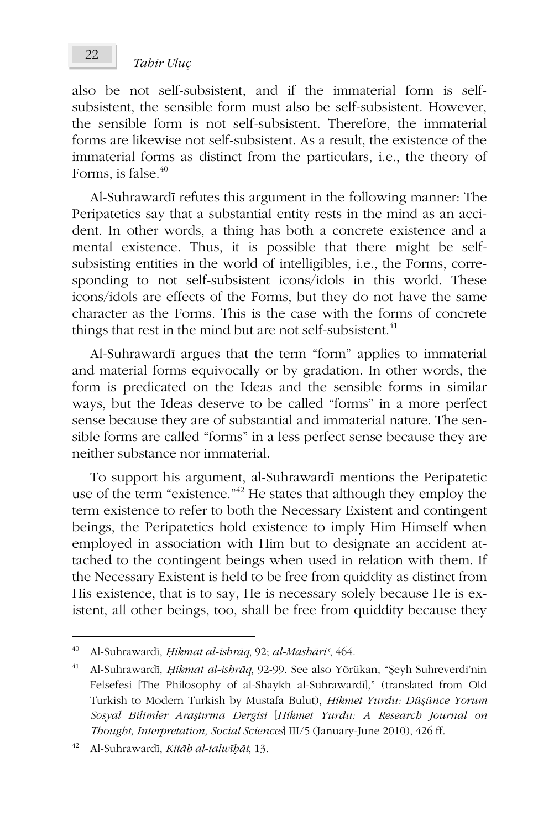also be not self-subsistent, and if the immaterial form is selfsubsistent, the sensible form must also be self-subsistent. However, the sensible form is not self-subsistent. Therefore, the immaterial forms are likewise not self-subsistent. As a result, the existence of the immaterial forms as distinct from the particulars, i.e., the theory of Forms, is false. $40$ 

Al-Suhrawardī refutes this argument in the following manner: The Peripatetics say that a substantial entity rests in the mind as an accident. In other words, a thing has both a concrete existence and a mental existence. Thus, it is possible that there might be selfsubsisting entities in the world of intelligibles, i.e., the Forms, corresponding to not self-subsistent icons/idols in this world. These icons/idols are effects of the Forms, but they do not have the same character as the Forms. This is the case with the forms of concrete things that rest in the mind but are not self-subsistent. $41$ 

Al-Suhrawardī argues that the term "form" applies to immaterial and material forms equivocally or by gradation. In other words, the form is predicated on the Ideas and the sensible forms in similar ways, but the Ideas deserve to be called "forms" in a more perfect sense because they are of substantial and immaterial nature. The sensible forms are called "forms" in a less perfect sense because they are neither substance nor immaterial.

To support his argument, al-Suhrawardī mentions the Peripatetic use of the term "existence."<sup>42</sup> He states that although they employ the term existence to refer to both the Necessary Existent and contingent beings, the Peripatetics hold existence to imply Him Himself when employed in association with Him but to designate an accident attached to the contingent beings when used in relation with them. If the Necessary Existent is held to be free from quiddity as distinct from His existence, that is to say, He is necessary solely because He is existent, all other beings, too, shall be free from quiddity because they

<sup>&</sup>lt;sup>40</sup> Al-Suhrawardī, *Hikmat al-ishrāq*, 92; *al-Mashāri*<sup>*c*</sup>, 464.

<sup>&</sup>lt;sup>41</sup> Al-Suhrawardī, *Hikmat al-ishrāq*, 92-99. See also Yörükan, "Şeyh Suhreverdi'nin Felsefesi [The Philosophy of al-Shaykh al-Suhrawardī]," (translated from Old Turkish to Modern Turkish by Mustafa Bulut), *Hikmet Yurdu: Düşünce Yorum Sosyal Bilimler AraȞWÕrma Dergisi* [*Hikmet Yurdu: A Research Journal on Thought, Interpretation, Social Sciences*] III/5 (January-June 2010), 426 ff.

<sup>42</sup> Al-SuhrawardÑ, *KitÃb al-talwÑĜÃt*, 13.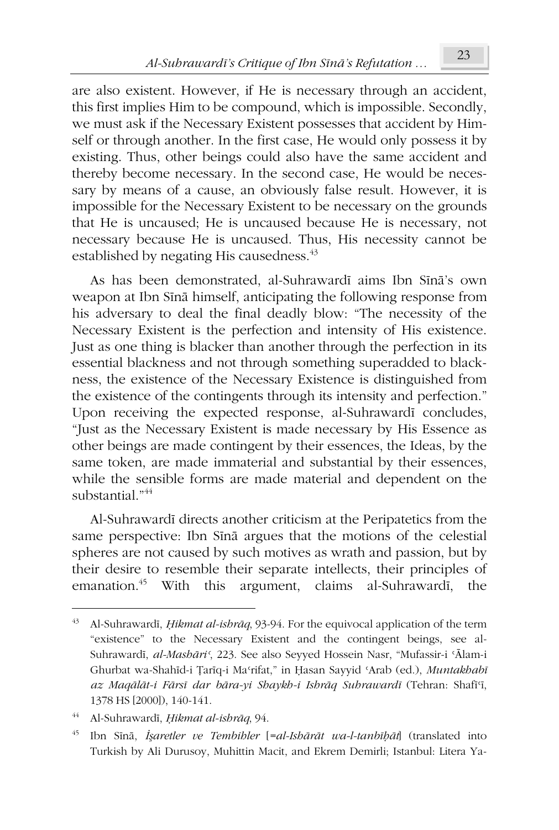are also existent. However, if He is necessary through an accident, this first implies Him to be compound, which is impossible. Secondly, we must ask if the Necessary Existent possesses that accident by Himself or through another. In the first case, He would only possess it by existing. Thus, other beings could also have the same accident and thereby become necessary. In the second case, He would be necessary by means of a cause, an obviously false result. However, it is impossible for the Necessary Existent to be necessary on the grounds that He is uncaused; He is uncaused because He is necessary, not necessary because He is uncaused. Thus, His necessity cannot be established by negating His causedness.<sup>43</sup>

As has been demonstrated, al-Suhrawardī aims Ibn Sīnā's own weapon at Ibn Sīnā himself, anticipating the following response from his adversary to deal the final deadly blow: "The necessity of the Necessary Existent is the perfection and intensity of His existence. Just as one thing is blacker than another through the perfection in its essential blackness and not through something superadded to blackness, the existence of the Necessary Existence is distinguished from the existence of the contingents through its intensity and perfection." Upon receiving the expected response, al-Suhrawardi concludes, "Just as the Necessary Existent is made necessary by His Essence as other beings are made contingent by their essences, the Ideas, by the same token, are made immaterial and substantial by their essences, while the sensible forms are made material and dependent on the substantial."<sup>44</sup>

Al-Suhrawardī directs another criticism at the Peripatetics from the same perspective: Ibn Sīnā argues that the motions of the celestial spheres are not caused by such motives as wrath and passion, but by their desire to resemble their separate intellects, their principles of emanation.<sup>45</sup> With this argument, claims al-Suhrawardī, the

Al-Suhrawardī, *Ḥikmat al-ishrāq*, 93-94. For the equivocal application of the term "existence" to the Necessary Existent and the contingent beings, see al-Suhrawardī, *al-Mashāri*<sup>c</sup>, 223. See also Seyyed Hossein Nasr, "Mufassir-i 'Ālam-i Ghurbat wa-Shahīd-i Țarīq-i Maʻrifat," in Ḥasan Sayyid 'Arab (ed.), *Muntakhabī az MaqÃOÃt-i FÃrsÑ dar bÃra-yi Shaykh-i IshrÃq SuhrawardÑ* (Tehran: ShafÑþÑ, 1378 HS [2000]), 140-141.

<sup>&</sup>lt;sup>44</sup> Al-Suhrawardī, *Hikmat al-ishrāq*, 94.

<sup>&</sup>lt;sup>45</sup> Ibn Sīnā, *İşaretler ve Tembihler* [=al-Ishārāt wa-l-tanbīḥāt] (translated into Turkish by Ali Durusoy, Muhittin Macit, and Ekrem Demirli; Istanbul: Litera Ya-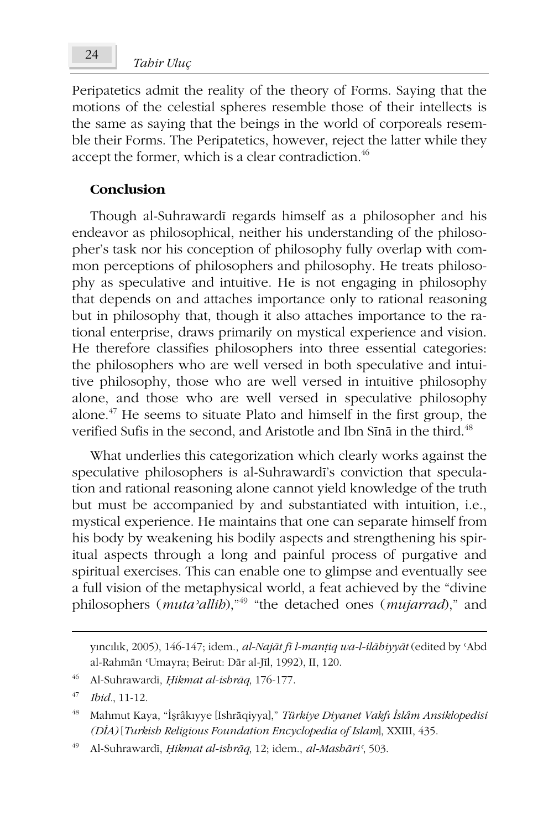# *Tahir Uluç* <sup>24</sup>

Peripatetics admit the reality of the theory of Forms. Saying that the motions of the celestial spheres resemble those of their intellects is the same as saying that the beings in the world of corporeals resemble their Forms. The Peripatetics, however, reject the latter while they accept the former, which is a clear contradiction.<sup>46</sup>

### **Conclusion**

Though al-Suhrawardī regards himself as a philosopher and his endeavor as philosophical, neither his understanding of the philosopher's task nor his conception of philosophy fully overlap with common perceptions of philosophers and philosophy. He treats philosophy as speculative and intuitive. He is not engaging in philosophy that depends on and attaches importance only to rational reasoning but in philosophy that, though it also attaches importance to the rational enterprise, draws primarily on mystical experience and vision. He therefore classifies philosophers into three essential categories: the philosophers who are well versed in both speculative and intuitive philosophy, those who are well versed in intuitive philosophy alone, and those who are well versed in speculative philosophy alone.<sup>47</sup> He seems to situate Plato and himself in the first group, the verified Sufis in the second, and Aristotle and Ibn Sīnā in the third.<sup>48</sup>

What underlies this categorization which clearly works against the speculative philosophers is al-Suhrawardī's conviction that speculation and rational reasoning alone cannot yield knowledge of the truth but must be accompanied by and substantiated with intuition, i.e., mystical experience. He maintains that one can separate himself from his body by weakening his bodily aspects and strengthening his spiritual aspects through a long and painful process of purgative and spiritual exercises. This can enable one to glimpse and eventually see a full vision of the metaphysical world, a feat achieved by the "divine philosophers (*mutaýallih*),"<sup>49</sup> "the detached ones (*mujarrad*)," and

 $\gamma$ incīlīk, 2005), 146-147; idem., *al-Najāt fī l-manțiq wa-l-ilāhiyyāt* (edited by 'Abd al-Rahmān 'Umayra; Beirut: Dār al-Jīl, 1992), II, 120.

<sup>&</sup>lt;sup>46</sup> Al-Suhrawardī, *Hikmat al-ishrāq*, 176-177.

<sup>47</sup> *Ibid.*, 11-12.

<sup>&</sup>lt;sup>48</sup> Mahmut Kaya, "İşrâkıyye [Ishrāqiyya]," *Türkiye Diyanet Vakfı İslâm Ansiklopedisi (DÔA)* [*Turkish Religious Foundation Encyclopedia of Islam*], XXIII, 435.

<sup>49</sup> Al-SuhrawardÑ, *ěikmat al-ishrÃq*, 12; idem., *al-MashÃriþ*, 503.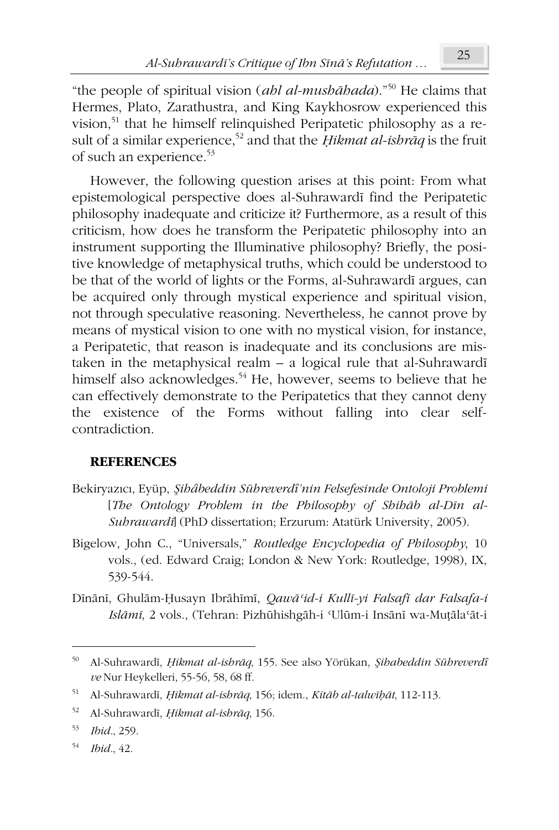"the people of spiritual vision (*ahl al-mushÃhada*)."<sup>50</sup> He claims that Hermes, Plato, Zarathustra, and King Kaykhosrow experienced this vision,<sup>51</sup> that he himself relinquished Peripatetic philosophy as a result of a similar experience,<sup>52</sup> and that the *ěikmat al-ishrÃq* is the fruit of such an experience.<sup>53</sup>

However, the following question arises at this point: From what epistemological perspective does al-Suhrawardī find the Peripatetic philosophy inadequate and criticize it? Furthermore, as a result of this criticism, how does he transform the Peripatetic philosophy into an instrument supporting the Illuminative philosophy? Briefly, the positive knowledge of metaphysical truths, which could be understood to be that of the world of lights or the Forms, al-Suhrawardī argues, can be acquired only through mystical experience and spiritual vision, not through speculative reasoning. Nevertheless, he cannot prove by means of mystical vision to one with no mystical vision, for instance, a Peripatetic, that reason is inadequate and its conclusions are mistaken in the metaphysical realm  $- a$  logical rule that al-Suhraward $\overline{\textbf{i}}$ himself also acknowledges.<sup>54</sup> He, however, seems to believe that he can effectively demonstrate to the Peripatetics that they cannot deny the existence of the Forms without falling into clear selfcontradiction.

### **REFERENCES**

- Bekiryazıcı, Eyüp, *Şihâbeddin Sühreverdî'nin Felsefesinde Ontoloji Problemi* [*The* Ontology Problem in the Philosophy of Shihab al-Din al-*SuhrawardÑ*] (PhD dissertation; Erzurum: Atatürk University, 2005).
- Bigelow, John C., "Universals," *Routledge Encyclopedia of Philosophy*, 10 vols., (ed. Edward Craig; London & New York: Routledge, 1998), IX, 539-544.
- Dīnānī, Ghulām-Ḥusayn Ibrāhīmī, Qawā'id-i Kullī-yi Falsafī dar Falsafa-i *Islāmī*, 2 vols., (Tehran: Pizhūhishgāh-i 'Ulūm-i Insānī wa-Muțāla'āt-i

1

<sup>50</sup> Al-SuhrawardÑ, *ěikmat al-ishrÃq*, 155. See also Yörükan, *ȝihabeddin Sühreverdî ve* Nur Heykelleri, 55-56, 58, 68 ff.

<sup>51</sup> Al-SuhrawardÑ, *ěikmat al-ishrÃq*, 156; idem., *KitÃb al-talwÑĜÃt*, 112-113.

<sup>52</sup> Al-Suhrawardī, *Hikmat al-ishrāq*, 156.

<sup>53</sup> *Ibid.*, 259.

<sup>54</sup> *Ibid.*, 42.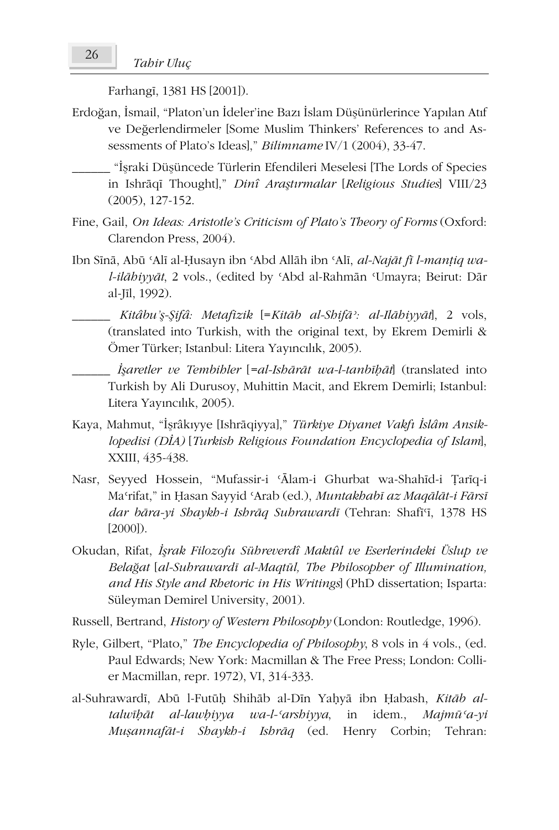Farhangi, 1381 HS [2001]).

- Erdoğan, İsmail, "Platon'un İdeler'ine Bazı İslam Düşünürlerince Yapılan Atıf ve Değerlendirmeler [Some Muslim Thinkers' References to and Assessments of Plato's Ideas]," *Bilimname* IV/1 (2004), 33-47.
	- \_\_\_\_\_\_ "ÔȞraki DüȞüncede Türlerin Efendileri Meselesi [The Lords of Species in Ishrāqī Thought]," *Dinî Araştırmalar* [*Religious Studies*] VIII/23 (2005), 127-152.
- Fine, Gail, *On Ideas: Aristotle's Criticism of Plato's Theory of Forms* (Oxford: Clarendon Press, 2004).
- Ibn Sīnā, Abū 'Alī al-Ḥusayn ibn 'Abd Allāh ibn 'Alī, *al-Najāt fī l-manțiq wal-ilābiyyāt*, 2 vols., (edited by 'Abd al-Rahmān 'Umayra; Beirut: Dār al-JÑl, 1992).
	- \_\_\_\_\_\_ *Kitâbu'Ȟȝifâ: Metafizik* [=*KitÃb al-ShifÃý: al-IlÃhiyyÃt*], 2 vols, (translated into Turkish, with the original text, by Ekrem Demirli & Ömer Türker; Istanbul: Litera Yayıncılık, 2005).

\_\_\_\_\_\_ *ÔȞaretler ve Tembihler* [*=al-IshÃUÃt wa-l-tanbÑĜÃt*] (translated into Turkish by Ali Durusoy, Muhittin Macit, and Ekrem Demirli; Istanbul: Litera Yayıncılık, 2005).

- Kaya, Mahmut, "İşrâkıyye [Ishrāqiyya]," *Türkiye Diyanet Vakfı İslâm Ansiklopedisi (DÔA)* [*Turkish Religious Foundation Encyclopedia of Islam*], XXIII, 435-438.
- Nasr, Seyyed Hossein, "Mufassir-i 'Ālam-i Ghurbat wa-Shahīd-i Ţarīq-i Ma'rifat," in Ḥasan Sayyid 'Arab (ed.), *Muntakhabī az Maqālāt-i Fārsī dar bāra-yi Shaykh-i Ishrāq Suhrawardī* (Tehran: Shafī<sup>q</sup>, 1378 HS [2000]).
- Okudan, Rifat, *ÔȞrak Filozofu Sühreverdî Maktûl ve Eserlerindeki Üslup ve BelaÍat* [*al-SuhrawardÑ al-Maqtál, The Philosopher of Illumination, and His Style and Rhetoric in His Writings*] (PhD dissertation; Isparta: Süleyman Demirel University, 2001).
- Russell, Bertrand, *History of Western Philosophy* (London: Routledge, 1996).
- Ryle, Gilbert, "Plato," *The Encyclopedia of Philosophy*, 8 vols in 4 vols., (ed. Paul Edwards; New York: Macmillan & The Free Press; London: Collier Macmillan, repr. 1972), VI, 314-333.
- al-Suhrawardī, Abū l-Futūḥ Shihāb al-Dīn Yaḥyā ibn Ḥabash, *Kitāb altalwÑĜÃt al-lawĜiyya wa-l-þarshiyya*, in idem., *Majmáþa-yi MuĮannafÃt-i Shaykh-i IshrÃq* (ed. Henry Corbin; Tehran: